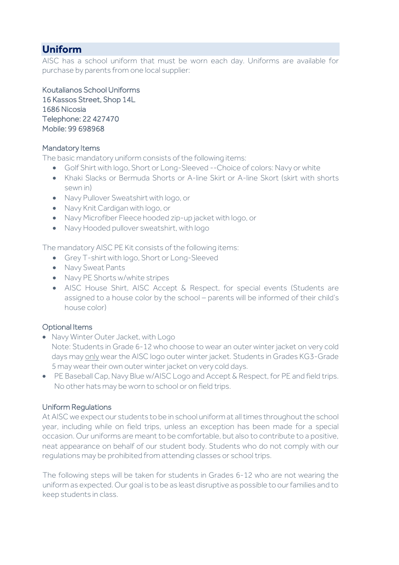# **Uniform**

AISC has a school uniform that must be worn each day. Uniforms are available for purchase by parents from one local supplier:

Koutalianos School Uniforms 16 Kassos Street, Shop 14L 1686 Nicosia Telephone: 22 427470 Mobile: 99 698968

## Mandatory Items

The basic mandatory uniform consists of the following items:

- Golf Shirt with logo, Short or Long-Sleeved --Choice of colors: Navy or white
- Khaki Slacks or Bermuda Shorts or A-line Skirt or A-line Skort (skirt with shorts sewn in)
- Navy Pullover Sweatshirt with logo, or
- Navy Knit Cardigan with logo, or
- Navy Microfiber Fleece hooded zip-up jacket with logo, or
- Navy Hooded pullover sweatshirt, with logo

The mandatory AISC PE Kit consists of the following items:

- Grey T-shirt with logo, Short or Long-Sleeved
- Navy Sweat Pants
- Navy PE Shorts w/white stripes
- AISC House Shirt, AISC Accept & Respect, for special events (Students are assigned to a house color by the school – parents will be informed of their child's house color)

## Optional Items

• Navy Winter Outer Jacket, with Logo

Note: Students in Grade 6-12 who choose to wear an outer winter jacket on very cold days may only wear the AISC logo outer winter jacket. Students in Grades KG3-Grade 5 may wear their own outer winter jacket on very cold days.

• PE Baseball Cap, Navy Blue w/AISC Logo and Accept & Respect, for PE and field trips. No other hats may be worn to school or on field trips.

## Uniform Regulations

At AISC we expect our students to be in school uniform at all times throughout the school year, including while on field trips, unless an exception has been made for a special occasion. Our uniforms are meant to be comfortable, but also to contribute to a positive, neat appearance on behalf of our student body. Students who do not comply with our regulations may be prohibited from attending classes or school trips.

The following steps will be taken for students in Grades 6-12 who are not wearing the uniform as expected. Our goal is to be as least disruptive as possible to our families and to keep students in class.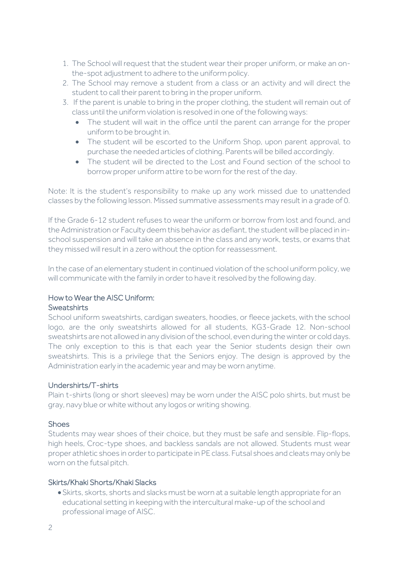- 1. The School will request that the student wear their proper uniform, or make an onthe-spot adjustment to adhere to the uniform policy.
- 2. The School may remove a student from a class or an activity and will direct the student to call their parent to bring in the proper uniform.
- 3. If the parent is unable to bring in the proper clothing, the student will remain out of class until the uniform violation is resolved in one of the following ways:
	- The student will wait in the office until the parent can arrange for the proper uniform to be brought in.
	- The student will be escorted to the Uniform Shop, upon parent approval, to purchase the needed articles of clothing. Parents will be billed accordingly.
	- The student will be directed to the Lost and Found section of the school to borrow proper uniform attire to be worn for the rest of the day.

Note: It is the student's responsibility to make up any work missed due to unattended classes by the following lesson. Missed summative assessments may result in a grade of 0.

If the Grade 6-12 student refuses to wear the uniform or borrow from lost and found, and the Administration or Faculty deem this behavior as defiant, the student will be placed in inschool suspension and will take an absence in the class and any work, tests, or exams that they missed will result in a zero without the option for reassessment.

In the case of an elementary student in continued violation of the school uniform policy, we will communicate with the family in order to have it resolved by the following day.

#### How to Wear the AISC Uniform: **Sweatshirts**

## School uniform sweatshirts, cardigan sweaters, hoodies, or fleece jackets, with the school logo, are the only sweatshirts allowed for all students, KG3-Grade 12. Non-school sweatshirts are not allowed in any division of the school, even during the winter or cold days. The only exception to this is that each year the Senior students design their own sweatshirts. This is a privilege that the Seniors enjoy. The design is approved by the Administration early in the academic year and may be worn anytime.

## Undershirts/T-shirts

Plain t-shirts (long or short sleeves) may be worn under the AISC polo shirts, but must be gray, navy blue or white without any logos or writing showing.

## **Shoes**

Students may wear shoes of their choice, but they must be safe and sensible. Flip-flops, high heels, Croc-type shoes, and backless sandals are not allowed. Students must wear proper athletic shoes in order to participate in PE class. Futsal shoes and cleats may only be worn on the futsal pitch.

## Skirts/Khaki Shorts/Khaki Slacks

•Skirts, skorts, shorts and slacks must be worn at a suitable length appropriate for an educational setting in keeping with the intercultural make-up of the school and professional image of AISC.